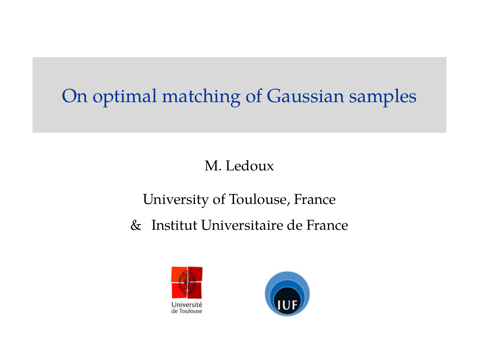# On optimal matching of Gaussian samples

### M. Ledoux

### University of Toulouse, France

## & Institut Universitaire de France



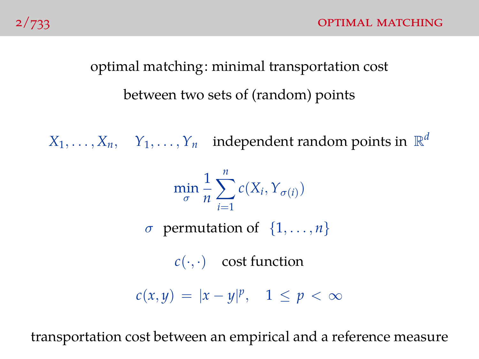# optimal matching: minimal transportation cost between two sets of (random) points

 $X_1, \ldots, X_n$ ,  $Y_1, \ldots, Y_n$  independent random points in  $\mathbb{R}^d$ 

$$
\min_{\sigma} \frac{1}{n} \sum_{i=1}^{n} c(X_i, Y_{\sigma(i)})
$$
  
\n*σ* permutation of {1, ..., *n*}  
\n*c(·, ·)* cost function  
\n
$$
c(x, y) = |x - y|^p, \quad 1 \le p < \infty
$$

transportation cost between an empirical and a reference measure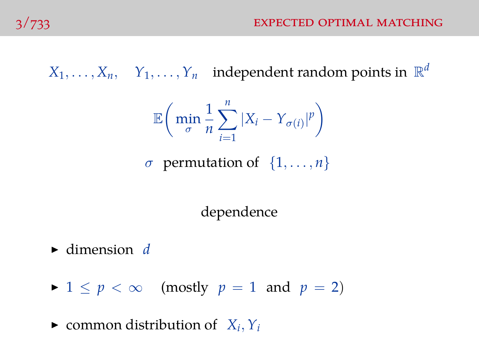$X_1, \ldots, X_n$ ,  $Y_1, \ldots, Y_n$  independent random points in  $\mathbb{R}^d$ 

$$
\mathbb{E}\bigg(\min_{\sigma}\frac{1}{n}\sum_{i=1}^{n}|X_i-Y_{\sigma(i)}|^p\bigg)
$$

 $\sigma$  permutation of  $\{1, \ldots, n\}$ 

dependence

- $\blacktriangleright$  dimension *d*
- $\blacktriangleright$  1  $\leq$  *p*  $\lt$   $\infty$  (mostly *p* = 1 and *p* = 2)

 $\blacktriangleright$  common distribution of  $X_i, Y_i$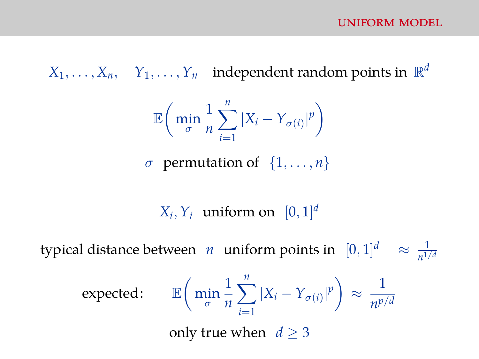$X_1, \ldots, X_n$ ,  $Y_1, \ldots, Y_n$  independent random points in  $\mathbb{R}^d$ 

$$
\mathbb{E}\bigg(\min_{\sigma}\frac{1}{n}\sum_{i=1}^{n}|X_{i}-Y_{\sigma(i)}|^{p}\bigg)
$$

 $\sigma$  permutation of  $\{1, \ldots, n\}$ 

 $X_i, Y_i$  uniform on  $[0, 1]^d$ 

typical distance between *n* uniform points in  $[0,1]^d \approx \frac{1}{n!}$  $n^{1/d}$ 

$$
\text{expected:} \qquad \mathbb{E}\bigg(\min_{\sigma} \frac{1}{n} \sum_{i=1}^{n} |X_i - Y_{\sigma(i)}|^p\bigg) \approx \frac{1}{n^{p/d}}
$$

only true when  $d > 3$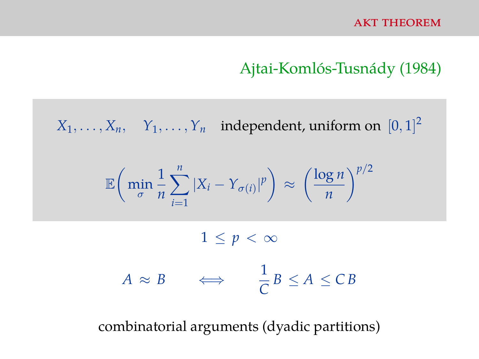#### Ajtai-Komlós-Tusnády (1984)

 $X_1, \ldots, X_n, \quad Y_1, \ldots, Y_n$  independent, uniform on  $[0, 1]^2$ 

$$
\mathbb{E}\bigg(\min_{\sigma}\frac{1}{n}\sum_{i=1}^{n}|X_i-Y_{\sigma(i)}|^p\bigg) \approx \left(\frac{\log n}{n}\right)^{p/2}
$$

 $1 \leq p < \infty$ 

$$
A \approx B \qquad \Longleftrightarrow \qquad \frac{1}{C}B \le A \le CB
$$

combinatorial arguments (dyadic partitions)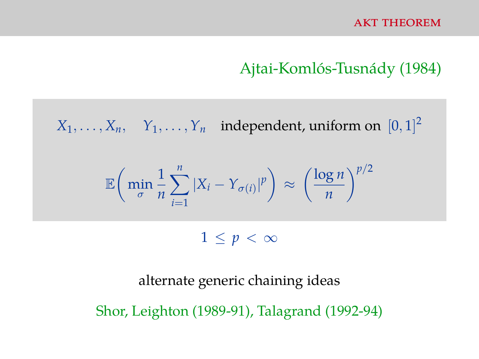### Ajtai-Komlós-Tusnády (1984)

 $X_1, \ldots, X_n, \quad Y_1, \ldots, Y_n$  independent, uniform on  $[0, 1]^2$ 

$$
\mathbb{E}\bigg(\min_{\sigma}\frac{1}{n}\sum_{i=1}^{n}|X_i-Y_{\sigma(i)}|^p\bigg) \approx \left(\frac{\log n}{n}\right)^{p/2}
$$

 $1 \leq p < \infty$ 

alternate generic chaining ideas Shor, Leighton (1989-91), Talagrand (1992-94)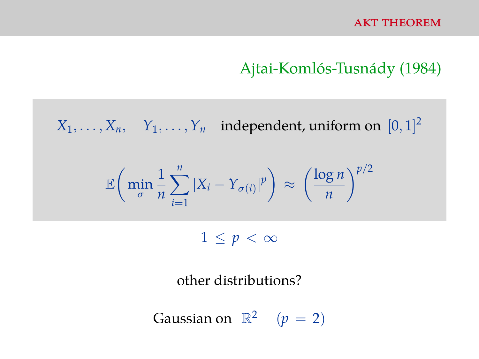### Ajtai-Komlós-Tusnády (1984)

 $X_1, \ldots, X_n, \quad Y_1, \ldots, Y_n$  independent, uniform on  $[0, 1]^2$ 

$$
\mathbb{E}\bigg(\min_{\sigma}\frac{1}{n}\sum_{i=1}^n|X_i-Y_{\sigma(i)}|^p\bigg)\approx\left(\frac{\log n}{n}\right)^{p/2}
$$

 $1 \leq p < \infty$ 

other distributions?

Gaussian on 
$$
\mathbb{R}^2
$$
  $(p = 2)$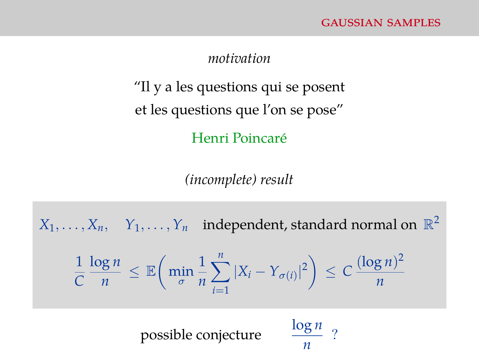#### *motivation*

"Il y a les questions qui se posent et les questions que l'on se pose" Henri Poincaré

*(incomplete) result*

 $X_1, \ldots, X_n$ ,  $Y_1, \ldots, Y_n$  independent, standard normal on  $\mathbb{R}^2$ 1 *C* log *n n* ≤ E min σ 1 *n*  $\sum_{n=1}^n$ *i*=1  $|X_i - Y_{\sigma(i)}|^2 \geq C \frac{(\log n)^2}{n}$ *n* possible conjecture *n*  $rac{\log n}{2}$  ?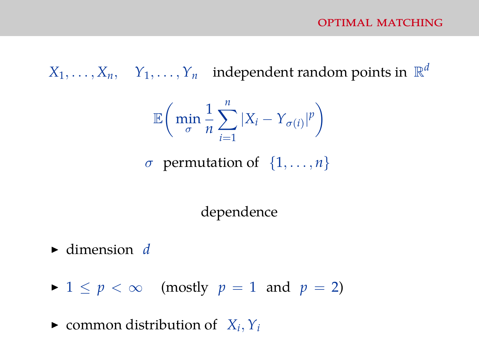$X_1, \ldots, X_n$ ,  $Y_1, \ldots, Y_n$  independent random points in  $\mathbb{R}^d$ 

$$
\mathbb{E}\bigg(\min_{\sigma}\frac{1}{n}\sum_{i=1}^{n}|X_{i}-Y_{\sigma(i)}|^{p}\bigg)
$$

 $\sigma$  permutation of  $\{1, \ldots, n\}$ 

dependence

- $\blacktriangleright$  dimension *d*
- $\blacktriangleright$  1  $\leq$  *p*  $\lt$   $\infty$  (mostly *p* = 1 and *p* = 2)

 $\blacktriangleright$  common distribution of  $X_i, Y_i$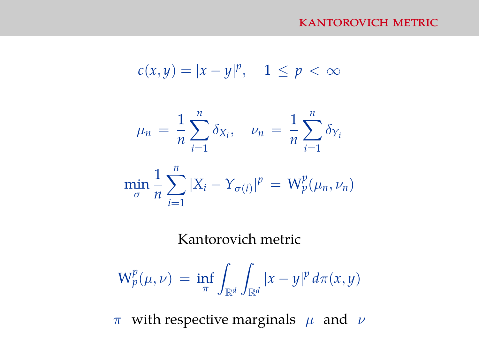#### kantorovich metric

$$
c(x,y) = |x - y|^p, \quad 1 \le p < \infty
$$

$$
\mu_n = \frac{1}{n} \sum_{i=1}^n \delta_{X_i}, \quad \nu_n = \frac{1}{n} \sum_{i=1}^n \delta_{Y_i}
$$

$$
\min_{\sigma} \frac{1}{n} \sum_{i=1}^{n} |X_i - Y_{\sigma(i)}|^p = W_p^p(\mu_n, \nu_n)
$$

#### Kantorovich metric

$$
\mathrm{W}_p^p(\mu,\nu) \,=\, \inf_{\pi} \int_{\mathbb{R}^d} \int_{\mathbb{R}^d} |x-y|^p \, d\pi(x,y)
$$

π with respective marginals  $\mu$  and  $\nu$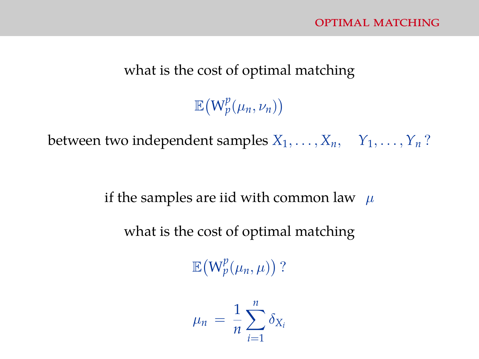#### what is the cost of optimal matching

# $\mathbb{E}\big(W_p^p(\mu_n,\nu_n)\big)$

between two independent samples  $X_1, \ldots, X_n, \quad Y_1, \ldots, Y_n$ ?

if the samples are iid with common law  $\mu$ 

what is the cost of optimal matching

 $\mathbb{E}\big(W_p^p(\mu_n,\mu)\big)$ ?

$$
\mu_n = \frac{1}{n} \sum_{i=1}^n \delta_{X_i}
$$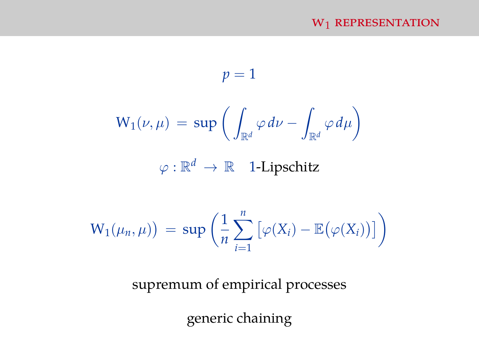#### $W_1$  REPRESENTATION

$$
p = 1
$$
  

$$
W_1(\nu, \mu) = \sup \left( \int_{\mathbb{R}^d} \varphi \, d\nu - \int_{\mathbb{R}^d} \varphi \, d\mu \right)
$$
  

$$
\varphi : \mathbb{R}^d \to \mathbb{R} \quad \text{1-Lipschitz}
$$
  

$$
W_1(\mu_n, \mu) = \sup \left( \frac{1}{n} \sum_{i=1}^n \left[ \varphi(X_i) - \mathbb{E}(\varphi(X_i)) \right] \right)
$$

supremum of empirical processes

generic chaining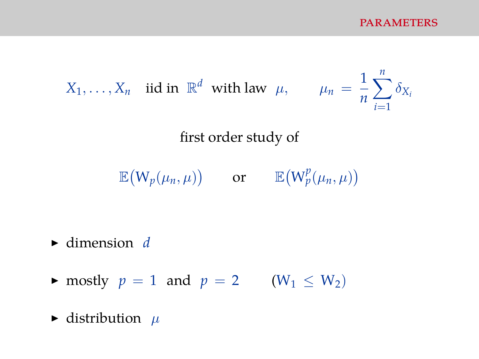$X_1, \ldots, X_n$  iid in  $\mathbb{R}^d$  with law  $\mu$ ,  $\mu_n = \frac{1}{n}$ *n*  $\sum_{n=1}^{\infty}$ *i*=1  $\delta_{X_i}$ first order study of  $\mathbb{E}(W_p(\mu_n,\mu))$  or  $\mathbb{E}(W_p^p(\mu_n,\mu))$ 

- $\blacktriangleright$  dimension *d*
- $\blacktriangleright$  mostly  $p = 1$  and  $p = 2$  (W<sub>1</sub> < W<sub>2</sub>)
- $\blacktriangleright$  distribution  $\mu$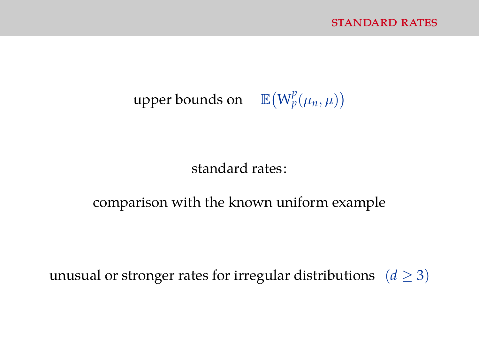## upper bounds on  $\mathbb{E}(W_p^p(\mu_n,\mu))$

standard rates:

#### comparison with the known uniform example

unusual or stronger rates for irregular distributions  $(d \ge 3)$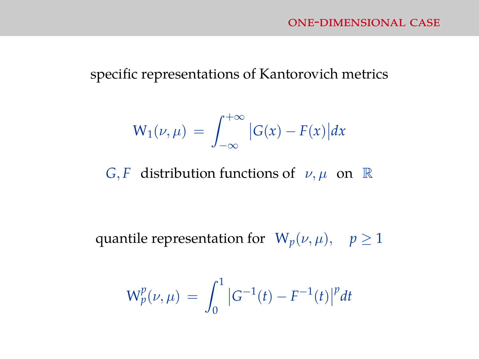#### specific representations of Kantorovich metrics

$$
W_1(\nu,\mu) = \int_{-\infty}^{+\infty} |G(x) - F(x)| dx
$$

*G*, *F* distribution functions of  $\nu, \mu$  on  $\mathbb{R}$ 

quantile representation for  $W_p(\nu,\mu)$ ,  $p \ge 1$ 

$$
W_p^p(\nu,\mu) \,=\, \int_0^1 \big|G^{-1}(t)-F^{-1}(t)\big|^p dt
$$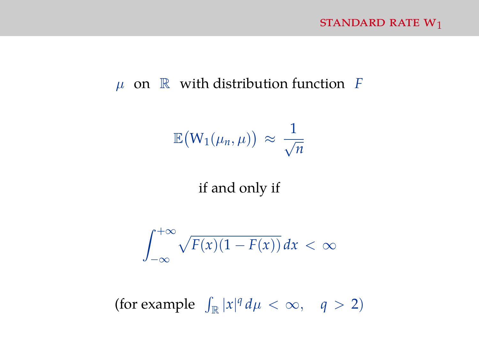#### µ on R with distribution function *F*

$$
\mathbb{E}\big(W_1(\mu_n,\mu)\big)\,\approx\,\frac{1}{\sqrt{n}}
$$

if and only if

$$
\int_{-\infty}^{+\infty} \sqrt{F(x)(1-F(x))} \, dx < \infty
$$

(for example  $\int_{\mathbb{R}} |x|^q d\mu < \infty$ ,  $q > 2$ )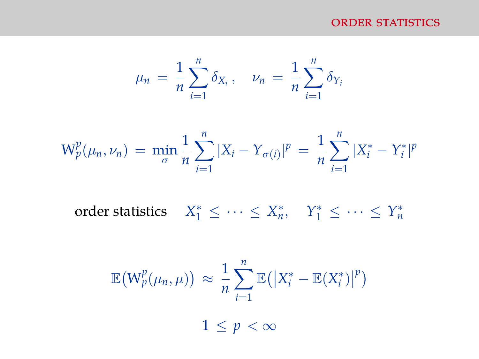#### ORDER STATISTICS

$$
\mu_n = \frac{1}{n} \sum_{i=1}^n \delta_{X_i}, \quad \nu_n = \frac{1}{n} \sum_{i=1}^n \delta_{Y_i}
$$

$$
W_p^p(\mu_n, \nu_n) = \min_{\sigma} \frac{1}{n} \sum_{i=1}^n |X_i - Y_{\sigma(i)}|^p = \frac{1}{n} \sum_{i=1}^n |X_i^* - Y_i^*|^p
$$

order statistics  $X_1^* \leq \cdots \leq X_n^*$ ,  $Y_1^* \leq \cdots \leq Y_n^*$ 

$$
\mathbb{E}\big(W_p^p(\mu_n,\mu)\big) \approx \frac{1}{n}\sum_{i=1}^n \mathbb{E}\big(\big|X_i^* - \mathbb{E}(X_i^*)\big|^p\big)
$$
  

$$
1 \le p < \infty
$$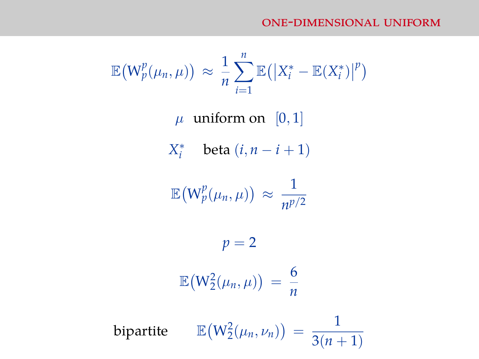$$
\mathbb{E}\big(W_p^p(\mu_n,\mu)\big) \approx \frac{1}{n}\sum_{i=1}^n \mathbb{E}\big(\big|X_i^*-\mathbb{E}(X_i^*)\big|^p\big)
$$

 $\mu$  uniform on [0, 1]

*X*<sup>\*</sup> beta  $(i, n - i + 1)$ 

$$
\mathbb{E}\big(W_p^p(\mu_n,\mu)\big)\,\approx\,\frac{1}{n^{p/2}}
$$

$$
p = 2
$$

$$
\mathbb{E}(W_2^2(\mu_n, \mu)) = \frac{6}{n}
$$

bipartite  $\mathbb{E}(W_2^2(\mu_n, \nu_n)) =$ 1  $\frac{3(n+1)}{2}$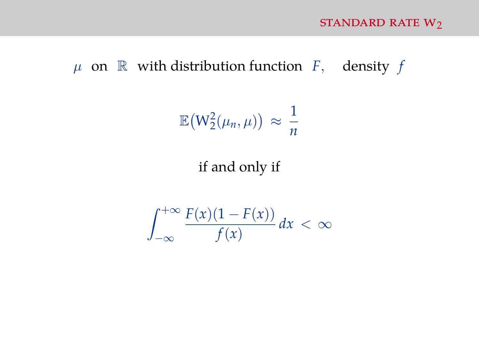### $\mu$  on  $\mathbb R$  with distribution function *F*, density *f*

$$
\mathbb{E}\big(W_2^2(\mu_n,\mu)\big) \, \approx \, \frac{1}{n}
$$

#### if and only if

$$
\int_{-\infty}^{+\infty} \frac{F(x)(1 - F(x))}{f(x)} dx < \infty
$$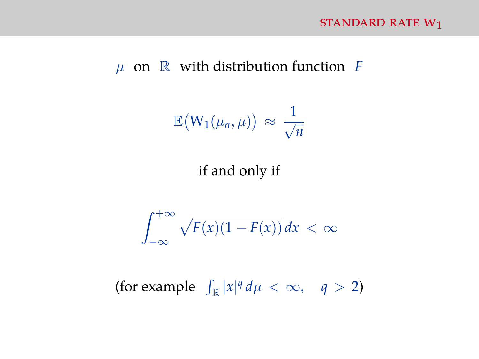#### $\mu$  on  $\mathbb R$  with distribution function *F*

$$
\mathbb{E}\big(W_1(\mu_n,\mu)\big)\,\approx\,\frac{1}{\sqrt{n}}
$$

#### if and only if

$$
\int_{-\infty}^{+\infty} \sqrt{F(x)(1-F(x))} \, dx < \infty
$$

(for example  $\int_{\mathbb{R}} |x|^q d\mu < \infty$ ,  $q > 2$ )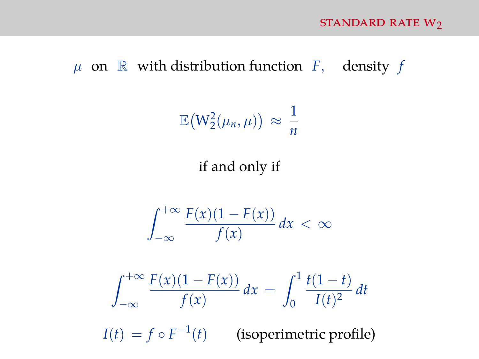#### $\mu$  on  $\mathbb R$  with distribution function *F*, density *f*

$$
\mathbb{E}\big(W_2^2(\mu_n,\mu)\big) \approx \frac{1}{n}
$$

#### if and only if

$$
\int_{-\infty}^{+\infty} \frac{F(x)(1 - F(x))}{f(x)} dx < \infty
$$

$$
\int_{-\infty}^{+\infty} \frac{F(x)(1 - F(x))}{f(x)} dx = \int_0^1 \frac{t(1 - t)}{I(t)^2} dt
$$

 $I(t) = f \circ F^{-1}(t)$  (isoperimetric profile)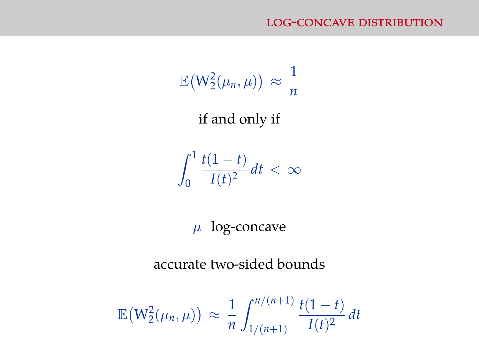$$
\mathbb{E}\big(W_2^2(\mu_n,\mu)\big) \approx \frac{1}{n}
$$

if and only if

 $\int_0^1$  $\overline{0}$ *t*(1 − *t*)  $\int \frac{f(t)}{I(t)^2} dt < \infty$ 

 $\mu$  log-concave

accurate two-sided bounds

$$
\mathbb{E}\big(W_2^2(\mu_n,\mu)\big) \approx \frac{1}{n} \int_{1/(n+1)}^{n/(n+1)} \frac{t(1-t)}{I(t)^2} dt
$$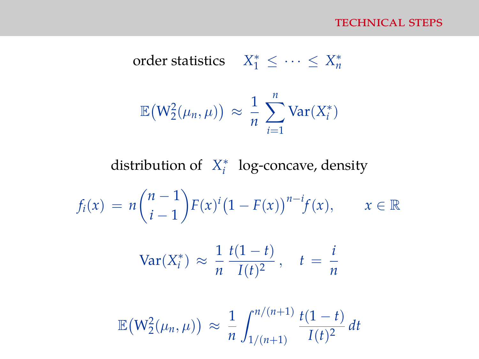order statistics 
$$
X_1^* \leq \cdots \leq X_n^*
$$
  

$$
\mathbb{E}(W_2^2(\mu_n, \mu)) \approx \frac{1}{n} \sum_{i=1}^n \text{Var}(X_i^*)
$$

distribution of *X* ∗ *i* log-concave, density

$$
f_i(x) = n {n-1 \choose i-1} F(x)^i (1 - F(x))^{n-i} f(x), \qquad x \in \mathbb{R}
$$

$$
\text{Var}(X_i^*) \approx \frac{1}{n} \frac{t(1-t)}{I(t)^2}, \quad t = \frac{i}{n}
$$

$$
\mathbb{E}\big(W_2^2(\mu_n,\mu)\big) \approx \frac{1}{n} \int_{1/(n+1)}^{n/(n+1)} \frac{t(1-t)}{I(t)^2} dt
$$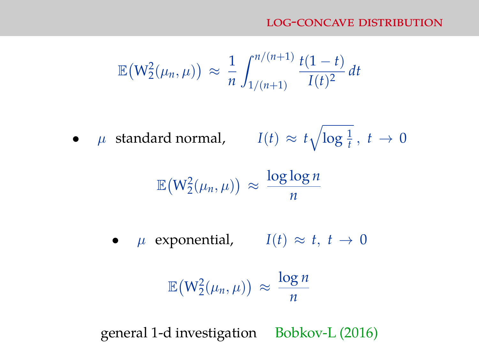$$
\mathbb{E}\big(W_2^2(\mu_n,\mu)\big) \approx \frac{1}{n} \int_{1/(n+1)}^{n/(n+1)} \frac{t(1-t)}{I(t)^2} dt
$$

•  $\mu$  standard normal,  $I(t) \approx t \sqrt{\log \frac{1}{t}}, t \to 0$ 

$$
\mathbb{E}\big(W_2^2(\mu_n,\mu)\big) \approx \frac{\log\log n}{n}
$$

•  $\mu$  exponential,  $I(t) \approx t, t \to 0$ 

$$
\mathbb{E}\big(W_2^2(\mu_n,\mu)\big) \approx \frac{\log n}{n}
$$

general 1-d investigation Bobkov-L (2016)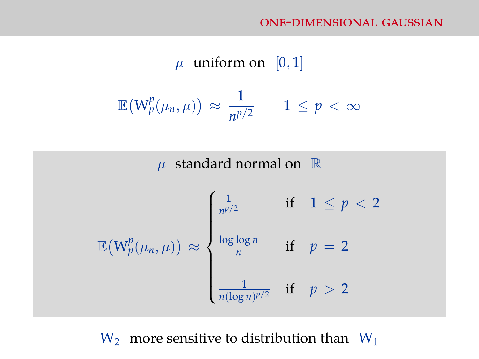$$
\mu \text{ uniform on } [0, 1]
$$

$$
\mathbb{E}(W_p^p(\mu_n, \mu)) \approx \frac{1}{n^{p/2}} \qquad 1 \le p < \infty
$$



 $W_2$  more sensitive to distribution than  $W_1$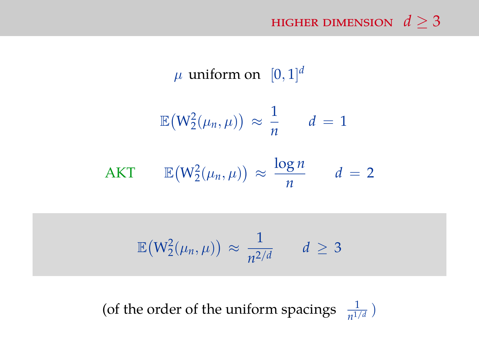HIGHER DIMENSION  $d > 3$ 

 $\mu$  uniform on  $[0, 1]^d$  $\mathbb{E}\big(\mathsf{W}^2_2(\mu_n,\mu)\big) \approx$ 1  $\frac{1}{n}$  *d* = 1 AKT  $\mathbb{E}(W_2^2(\mu_n,\mu)) \approx \frac{\log n}{n}$  $\frac{g}{n}$   $d=2$ 

$$
\mathbb{E}\big(W_2^2(\mu_n,\mu)\big) \approx \frac{1}{n^{2/d}} \qquad d \geq 3
$$

(of the order of the uniform spacings  $\frac{1}{n^{1/d}}$ )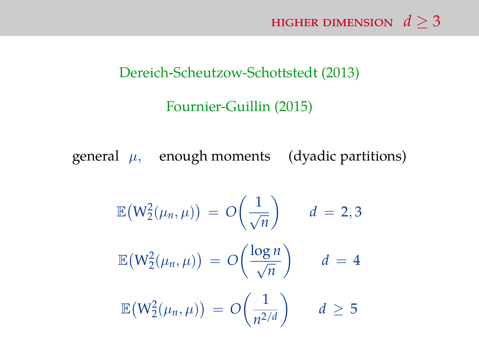#### Dereich-Scheutzow-Schottstedt (2013)

#### Fournier-Guillin (2015)

general  $\mu$ , enough moments (dyadic partitions)

$$
\mathbb{E}\left(W_2^2(\mu_n, \mu)\right) = O\left(\frac{1}{\sqrt{n}}\right) \qquad d = 2,3
$$

$$
\mathbb{E}\left(W_2^2(\mu_n, \mu)\right) = O\left(\frac{\log n}{\sqrt{n}}\right) \qquad d = 4
$$

$$
\mathbb{E}\left(W_2^2(\mu_n, \mu)\right) = O\left(\frac{1}{n^{2/d}}\right) \qquad d \ge 5
$$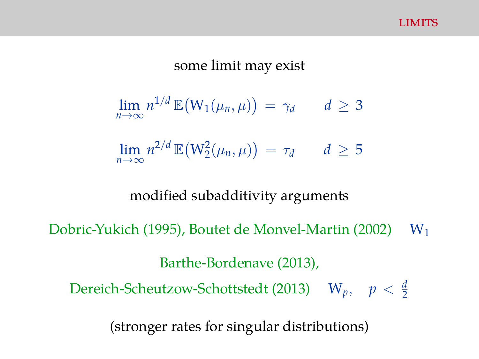#### some limit may exist

$$
\lim_{n\to\infty} n^{1/d} \mathbb{E}(W_1(\mu_n,\mu)) = \gamma_d \qquad d \geq 3
$$

 $\lim_{n \to \infty} n^{2/d} \mathbb{E}(W_2^2(\mu_n, \mu)) = \tau_d$  *d*  $\geq 5$ *n*→∞

#### modified subadditivity arguments

Dobric-Yukich (1995), Boutet de Monvel-Martin (2002)  $W_1$ 

Barthe-Bordenave (2013),

Dereich-Scheutzow-Schottstedt (2013)  $W_p$ ,  $p < \frac{d}{2}$ 

(stronger rates for singular distributions)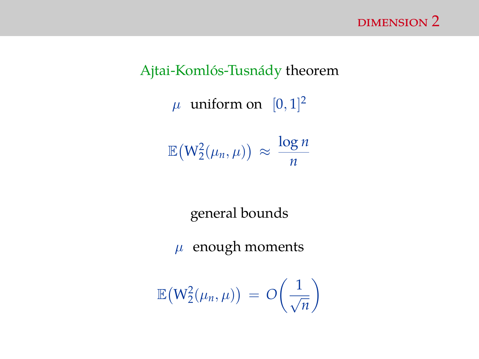# Ajtai-Komlós-Tusnády theorem  $\mu$  uniform on  $[0, 1]^2$  $\mathbb{E}(W_2^2(\mu_n,\mu)) \approx \frac{\log n}{n}$ *n*

general bounds

 $\mu$  enough moments

$$
\mathbb{E}\big(W_2^2(\mu_n,\mu)\big) \, = \, O\bigg(\frac{1}{\sqrt{n}}\bigg)
$$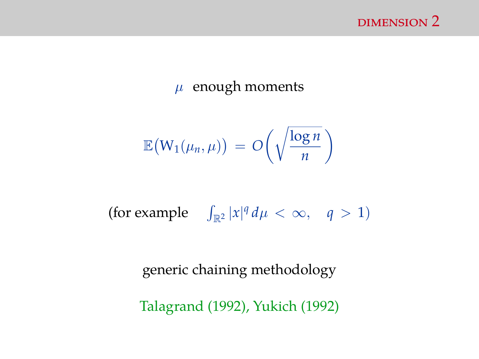

#### $\mu$  enough moments

$$
\mathbb{E}\big(W_1(\mu_n,\mu)\big) \,=\, O\bigg(\sqrt{\frac{\log n}{n}}\,\bigg)
$$

(for example  $\int_{\mathbb{R}^2} |x|^q d\mu < \infty$ ,  $q > 1$ )

generic chaining methodology

Talagrand (1992), Yukich (1992)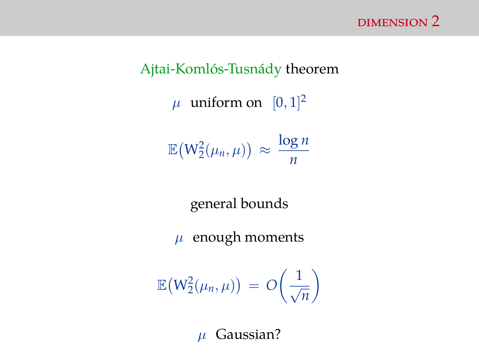# Ajtai-Komlós-Tusnády theorem  $\mu$  uniform on  $[0, 1]^2$  $\mathbb{E}(W_2^2(\mu_n,\mu)) \approx \frac{\log n}{n}$ *n*

general bounds

 $\mu$  enough moments

$$
\mathbb{E}\big(W_2^2(\mu_n,\mu)\big) \,=\, O\bigg(\frac{1}{\sqrt{n}}\bigg)
$$

 $\mu$  Gaussian?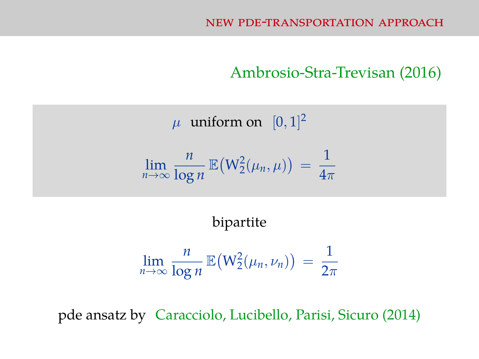#### Ambrosio-Stra-Trevisan (2016)

 $\mu$  uniform on  $[0, 1]^2$ 

$$
\lim_{n\to\infty}\frac{n}{\log n}\,\mathbb{E}\big(W_2^2(\mu_n,\mu)\big) = \frac{1}{4\pi}
$$

#### bipartite

$$
\lim_{n\to\infty}\frac{n}{\log n}\,\mathbb{E}\big(\mathrm{W}_2^2(\mu_n,\nu_n)\big) \,=\,\frac{1}{2\pi}
$$

pde ansatz by Caracciolo, Lucibello, Parisi, Sicuro (2014)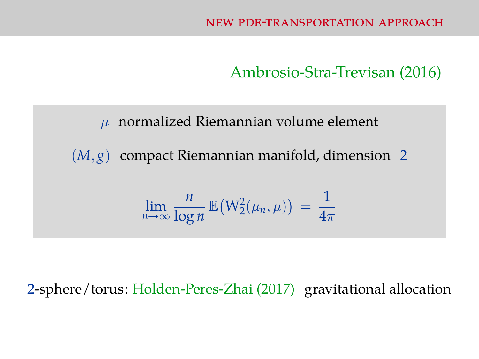Ambrosio-Stra-Trevisan (2016)

 $\mu$  normalized Riemannian volume element (*M*, *g*) compact Riemannian manifold, dimension 2 lim*n*→∞ *n*  $\frac{n}{\log n}$   $\mathbb{E}(W_2^2(\mu_n,\mu)) =$ 1  $\overline{4\pi}$ 

2-sphere/torus: Holden-Peres-Zhai (2017) gravitational allocation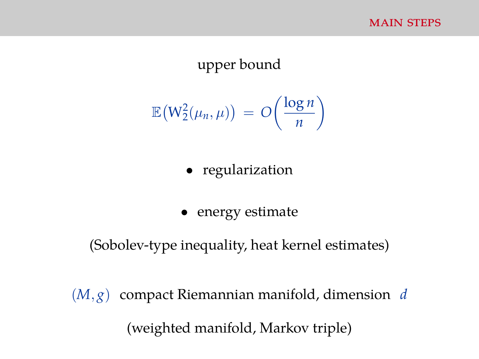#### upper bound

$$
\mathbb{E}\big(W_2^2(\mu_n,\mu)\big) \,=\, O\bigg(\frac{\log n}{n}\bigg)
$$

- regularization
- energy estimate

#### (Sobolev-type inequality, heat kernel estimates)

(*M*, *g*) compact Riemannian manifold, dimension *d* (weighted manifold, Markov triple)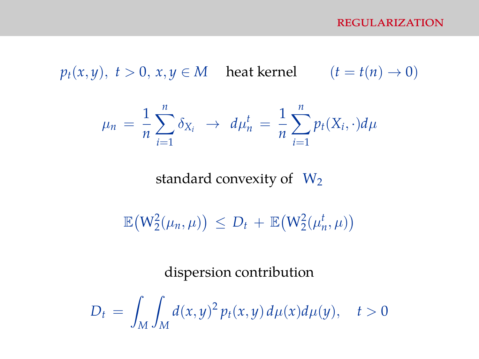$p_t(x, y), t > 0, x, y \in M$  heat kernel  $(t = t(n) \rightarrow 0)$ 

$$
\mu_n = \frac{1}{n} \sum_{i=1}^n \delta_{X_i} \to d\mu_n^t = \frac{1}{n} \sum_{i=1}^n p_t(X_i, \cdot) d\mu
$$

standard convexity of  $W_2$ 

 $\mathbb{E}(W_2^2(\mu_n,\mu)) \le D_t + \mathbb{E}(W_2^2(\mu_n^t,\mu))$ 

dispersion contribution

$$
D_t = \int_M \int_M d(x, y)^2 p_t(x, y) d\mu(x) d\mu(y), \quad t > 0
$$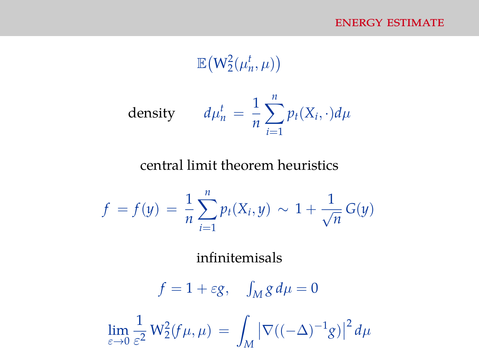$$
\mathbb{E}\big(W_2^2(\mu_n^t,\mu)\big)
$$

density 
$$
d\mu_n^t = \frac{1}{n} \sum_{i=1}^n p_t(X_i, \cdot) d\mu
$$

central limit theorem heuristics

$$
f = f(y) = \frac{1}{n} \sum_{i=1}^{n} p_t(X_i, y) \sim 1 + \frac{1}{\sqrt{n}} G(y)
$$

infinitemisals

 $f = 1 + \varepsilon g$ ,  $\int_M g d\mu = 0$ lim  $\overline{\varepsilon}\rightarrow 0$ 1  $\frac{1}{\varepsilon^2} W_2^2(f\mu,\mu) = \int$ *M*  $\left| \nabla ((-\Delta)^{-1}g) \right|$  $^{2}$  d<sub> $\mu$ </sub>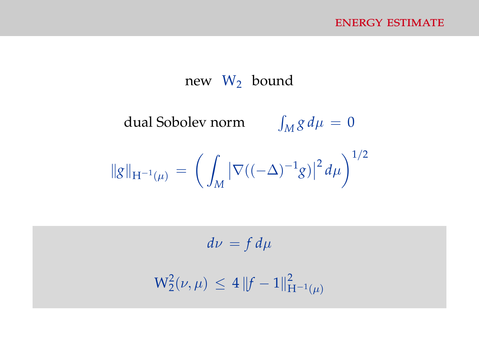#### new  $W_2$  bound

dual Sobolev norm  $\int_M g \, d\mu = 0$ 

$$
\|g\|_{H^{-1}(\mu)} = \left(\int_M |\nabla((-\Delta)^{-1}g)|^2 d\mu\right)^{1/2}
$$

 $d\nu = f d\mu$  $W_2^2(\nu,\mu) \leq 4 \|f-1\|_{\rm F}^2$  $H^{-1}(\mu)$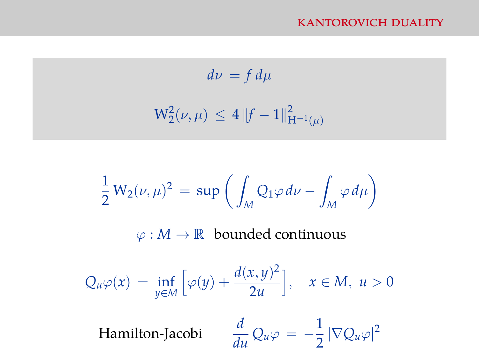$$
d\nu = f d\mu
$$
  

$$
W_2^2(\nu, \mu) \le 4 \|f - 1\|_{H^{-1}(\mu)}^2
$$

$$
\frac{1}{2}W_2(\nu,\mu)^2 = \sup \left( \int_M Q_1 \varphi \, d\nu - \int_M \varphi \, d\mu \right)
$$

$$
\varphi : M \to \mathbb{R} \text{ bounded continuous}
$$

$$
Q_u \varphi(x) = \inf_{y \in M} \left[ \varphi(y) + \frac{d(x,y)^2}{2u} \right], \quad x \in M, u > 0
$$
  
Hamilton-Jacobi 
$$
\frac{d}{du} Q_u \varphi = -\frac{1}{2} |\nabla Q_u \varphi|^2
$$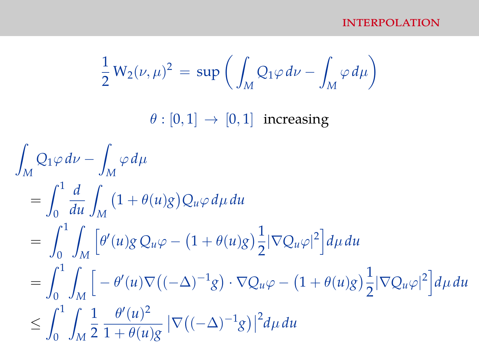$$
\frac{1}{2}W_2(\nu,\mu)^2 = \sup \left( \int_M Q_1 \varphi \, d\nu - \int_M \varphi \, d\mu \right)
$$
  

$$
\theta : [0,1] \to [0,1] \text{ increasing}
$$
  

$$
\int_M Q_1 \varphi \, d\nu - \int_M \varphi \, d\mu
$$
  

$$
= \int_0^1 \frac{d}{du} \int_M (1 + \theta(u)g) Q_u \varphi \, d\mu \, du
$$
  

$$
= \int_0^1 \int_M \left[ \theta'(u)g Q_u \varphi - (1 + \theta(u)g) \frac{1}{2} |\nabla Q_u \varphi|^2 \right] d\mu \, du
$$
  

$$
= \int_0^1 \int_M \left[ -\theta'(u) \nabla ((-\Delta)^{-1}g) \cdot \nabla Q_u \varphi - (1 + \theta(u)g) \frac{1}{2} |\nabla Q_u \varphi|^2 \right] d\mu \, du
$$
  

$$
\leq \int_0^1 \int_M \frac{1}{2} \frac{\theta'(u)^2}{1 + \theta(u)g} |\nabla ((-\Delta)^{-1}g)|^2 d\mu \, du
$$

Z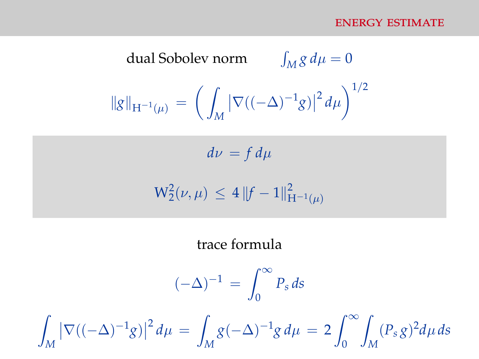dual Sobolev norm 
$$
\int_M g d\mu = 0
$$

$$
\|g\|_{H^{-1}(\mu)} = \left(\int_M |\nabla((-\Delta)^{-1}g)|^2 d\mu\right)^{1/2}
$$

 $d\nu = f d\mu$ 

$$
W_2^2(\nu,\mu) \, \leq \, 4 \, \|f-1\|_{H^{-1}(\mu)}^2
$$

#### trace formula

$$
(-\Delta)^{-1} = \int_0^\infty P_s \, ds
$$

Z *M*  $\left| \nabla ((-\Delta)^{-1} g) \right|$  $^{2}$  d<sub>µ</sub> =  $\sqrt{ }$ *M*  $g(-\Delta)^{-1}g d\mu = 2 \int_{-\infty}^{\infty}$  $\overline{0}$ Z *M*  $(P_s g)^2 d\mu ds$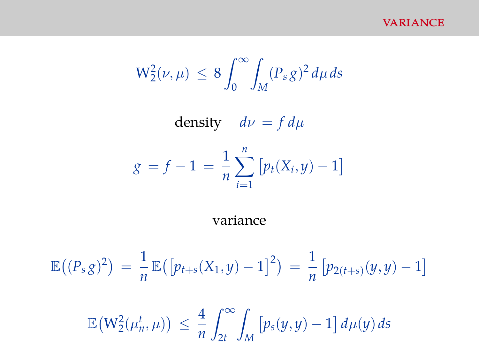**VARIANCE** 

$$
W_2^2(\nu,\mu) \, \leq \, 8 \int_0^\infty \! \int_M (P_s g)^2 \, d\mu \, ds
$$

density  $d\nu = f d\mu$ 

$$
g = f - 1 = \frac{1}{n} \sum_{i=1}^{n} [p_t(X_i, y) - 1]
$$

variance

$$
\mathbb{E}\big((P_s g)^2\big) = \frac{1}{n} \mathbb{E}\big(\big[p_{t+s}(X_1, y) - 1\big]^2\big) = \frac{1}{n} \big[p_{2(t+s)}(y, y) - 1\big]
$$

$$
\mathbb{E}\big(W_2^2(\mu_n^t, \mu)\big) \le \frac{4}{n} \int_{2t}^{\infty} \int_M \big[p_s(y, y) - 1\big] d\mu(y) ds
$$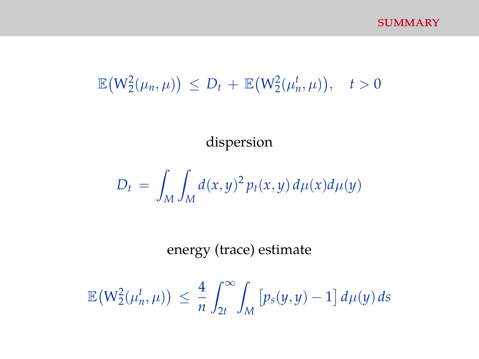# $\mathbb{E}(W_2^2(\mu_n, \mu)) \le D_t + \mathbb{E}(W_2^2(\mu_n^t, \mu)), \quad t > 0$

dispersion

$$
D_t = \int_M \int_M d(x, y)^2 p_t(x, y) d\mu(x) d\mu(y)
$$

energy (trace) estimate

$$
\mathbb{E}\big(W_2^2(\mu_n^t,\mu)\big) \, \leq \, \frac{4}{n} \int_{2t}^\infty \! \int_M \big[p_s(y,y)-1\big]\, d\mu(y)\, ds
$$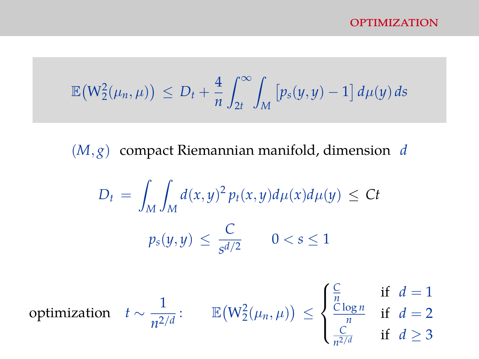$$
\mathbb{E}\big(W_2^2(\mu_n,\mu)\big) \, \leq \, D_t + \frac{4}{n} \int_{2t}^{\infty} \int_M \big[p_s(y,y) - 1\big]\,d\mu(y)\,ds
$$

(*M*, *g*) compact Riemannian manifold, dimension *d*

$$
D_t = \int_M \int_M d(x, y)^2 p_t(x, y) d\mu(x) d\mu(y) \le Ct
$$
  

$$
p_s(y, y) \le \frac{C}{s^{d/2}} \qquad 0 < s \le 1
$$

optimization  $t \sim \frac{1}{2}$  $\frac{1}{n^{2/d}}$ :  $\mathbb{E}(W_2^2(\mu_n,\mu)) \leq$  $\sqrt{ }$  $\int$  $\overline{\mathcal{L}}$ *C*  $\frac{C}{n}$  if  $d=1$ *C* log *n*  $\frac{\log n}{n}$  if  $d=2$ *C*  $\frac{C}{n^{2/d}}$  if  $d \ge 3$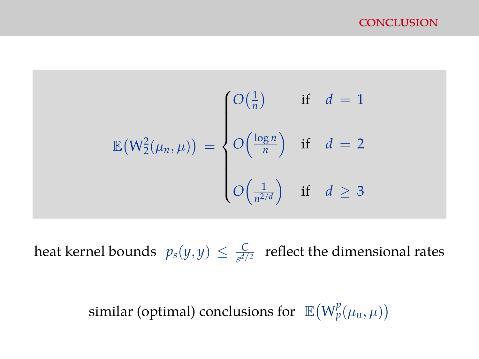#### conclusion

$$
\mathbb{E}(W_2^2(\mu_n, \mu)) = \begin{cases} O(\frac{1}{n}) & \text{if } d = 1 \\ O(\frac{\log n}{n}) & \text{if } d = 2 \\ \\ O(\frac{1}{n^{2/d}}) & \text{if } d \ge 3 \end{cases}
$$

heat kernel bounds  $p_s(y, y) \leq \frac{C}{s^{d/2}}$  $\frac{C}{s^{d/2}}$  reflect the dimensional rates

similar (optimal) conclusions for  $\mathbb{E}(W_p^p(\mu_n,\mu))$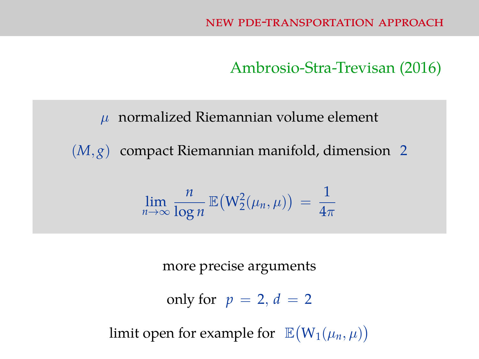Ambrosio-Stra-Trevisan (2016)

 $\mu$  normalized Riemannian volume element

(*M*, *g*) compact Riemannian manifold, dimension 2

$$
\lim_{n\to\infty}\frac{n}{\log n}\,\mathbb{E}\big(W_2^2(\mu_n,\mu)\big) = \frac{1}{4\pi}
$$

more precise arguments

only for  $p = 2$ ,  $d = 2$ 

limit open for example for  $\mathbb{E}(W_1(\mu_n,\mu))$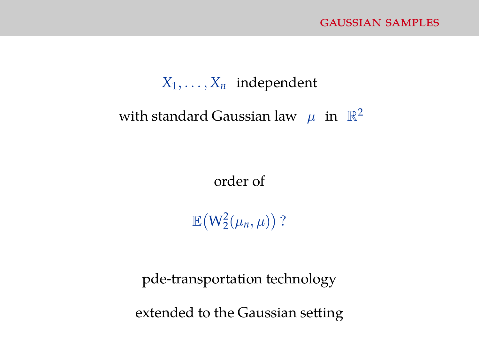#### $X_1, \ldots, X_n$  independent

## with standard Gaussian law  $\mu$  in  $\mathbb{R}^2$

order of

 $\mathbb{E}(W_2^2(\mu_n,\mu))$  ?

pde-transportation technology

extended to the Gaussian setting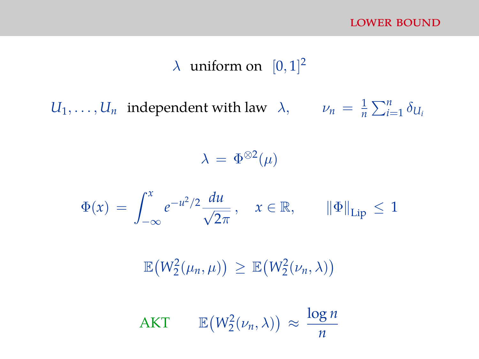## $\lambda$  uniform on  $[0, 1]^2$

 $U_1, \ldots, U_n$  independent with law  $\lambda$ ,  $\nu_n = \frac{1}{n}$  $\frac{1}{n}\sum_{i=1}^n \delta_{U_i}$ 

 $\lambda = \Phi^{\otimes 2}(\mu)$ 

$$
\Phi(x) = \int_{-\infty}^{x} e^{-u^2/2} \frac{du}{\sqrt{2\pi}}, \quad x \in \mathbb{R}, \qquad \|\Phi\|_{\text{Lip}} \le 1
$$

 $\mathbb{E}(W_2^2(\mu_n,\mu)) \geq \mathbb{E}(W_2^2(\nu_n,\lambda))$ 

$$
AKT \qquad \mathbb{E}(W_2^2(\nu_n,\lambda)) \approx \frac{\log n}{n}
$$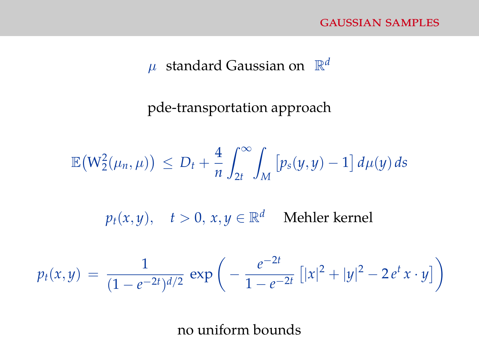#### $\mu$  standard Gaussian on  $\mathbb{R}^d$

pde-transportation approach

$$
\mathbb{E}\big(W_2^2(\mu_n,\mu)\big) \, \leq \, D_t + \frac{4}{n} \int_{2t}^{\infty} \int_M \big[p_s(y,y) - 1\big]\,d\mu(y)\,ds
$$

 $p_t(x, y), \quad t > 0, \, x, y \in \mathbb{R}^d \quad \text{ Mehler kernel}$ 

$$
p_t(x,y) = \frac{1}{(1-e^{-2t})^{d/2}} \exp\bigg(-\frac{e^{-2t}}{1-e^{-2t}}\big[|x|^2+|y|^2-2e^t x\cdot y\big]\bigg)
$$

no uniform bounds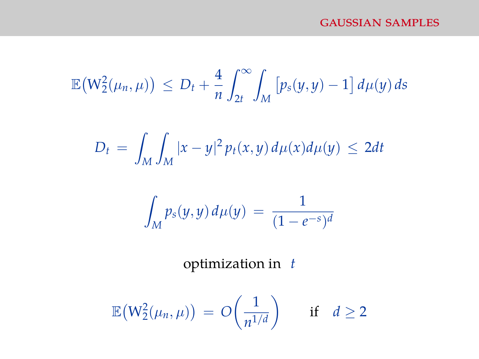$$
\mathbb{E}\big(W_2^2(\mu_n,\mu)\big) \, \leq \, D_t + \frac{4}{n} \int_{2t}^{\infty} \int_M \big[p_s(y,y) - 1\big]\,d\mu(y)\,ds
$$

$$
D_t = \int_M \int_M |x - y|^2 p_t(x, y) d\mu(x) d\mu(y) \le 2dt
$$

$$
\int_M p_s(y, y) \, d\mu(y) \, = \, \frac{1}{(1 - e^{-s})^d}
$$

optimization in *t*

$$
\mathbb{E}\big(W_2^2(\mu_n,\mu)\big) \,=\, O\bigg(\frac{1}{n^{1/d}}\bigg) \qquad \text{if} \quad d\geq 2
$$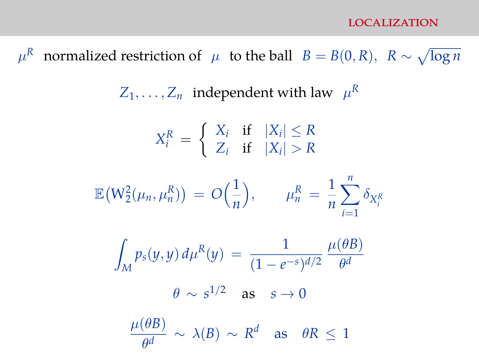#### localization

 $\mu^R$  normalized restriction of  $\mu$  to the ball  $B = B(0,R)$ ,  $R \sim \sqrt{\log n}$ 

 $Z_1, \ldots, Z_n$  independent with law  $\mu^R$ 

$$
X_i^R = \begin{cases} X_i & \text{if } |X_i| \le R \\ Z_i & \text{if } |X_i| > R \end{cases}
$$

$$
\mathbb{E}(W_2^2(\mu_n, \mu_n^R)) = O\left(\frac{1}{n}\right), \qquad \mu_n^R = \frac{1}{n} \sum_{i=1}^n \delta_{X_i^R}
$$

$$
\int_M p_s(y, y) d\mu^R(y) = \frac{1}{(1 - e^{-s})^{d/2}} \frac{\mu(\theta B)}{\theta^d}
$$

$$
\theta \sim s^{1/2} \quad \text{as } \quad s \to 0
$$

 $\mu(\theta B)$  $\frac{\partial^2 B}{\partial d^2} \sim \lambda(B) \sim R^d$  as  $\theta R \leq 1$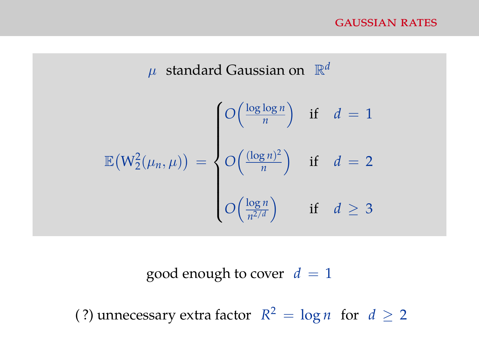$$
\mu \text{ standard Gaussian on } \mathbb{R}^d
$$

$$
\mathbb{E}(W_2^2(\mu_n, \mu)) = \begin{cases} O\left(\frac{\log \log n}{n}\right) & \text{if } d = 1 \\ O\left(\frac{(\log n)^2}{n}\right) & \text{if } d = 2 \\ \\ O\left(\frac{\log n}{n^{2/d}}\right) & \text{if } d \ge 3 \end{cases}
$$

good enough to cover  $d = 1$ 

(?) unnecessary extra factor  $R^2 = \log n$  for  $d \ge 2$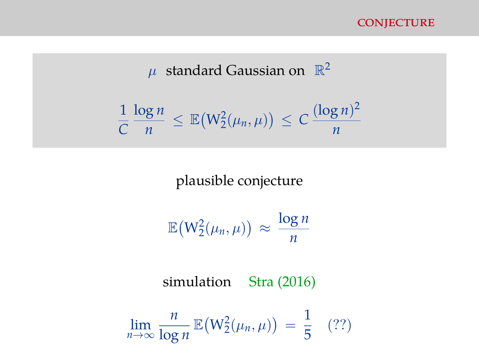

 $\mu$  standard Gaussian on  $\mathbb{R}^2$ 

$$
\frac{1}{C} \frac{\log n}{n} \leq \mathbb{E}(W_2^2(\mu_n, \mu)) \leq C \frac{(\log n)^2}{n}
$$

plausible conjecture

$$
\mathbb{E}\big(W_2^2(\mu_n,\mu)\big) \approx \frac{\log n}{n}
$$

simulation Stra (2016)

$$
\lim_{n\to\infty}\frac{n}{\log n}\,\mathbb{E}\big(\mathrm{W}_2^2(\mu_n,\mu)\big) = \frac{1}{5} \quad (??)
$$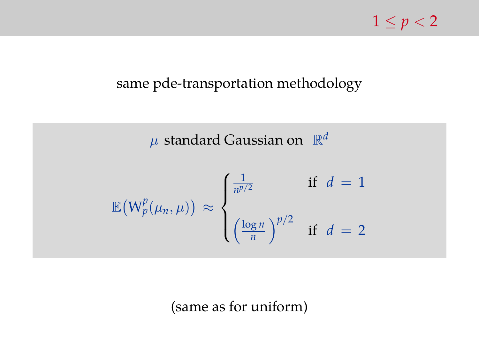## $1 \le p < 2$

#### same pde-transportation methodology

 $\mu$  standard Gaussian on  $\mathbb{R}^d$  $\mathbb{E}\big(\mathsf{W}_p^p(\mu_n,\mu)\big) \ \approx$  $\sqrt{ }$  $\int$  $\overline{\mathcal{L}}$ 1  $\frac{1}{n^{p/2}}$  if  $d = 1$  $\int \frac{\log n}{n}$  $\left(\frac{\text{g }n}{n}\right)^{p/2}$  if  $d=2$ 

(same as for uniform)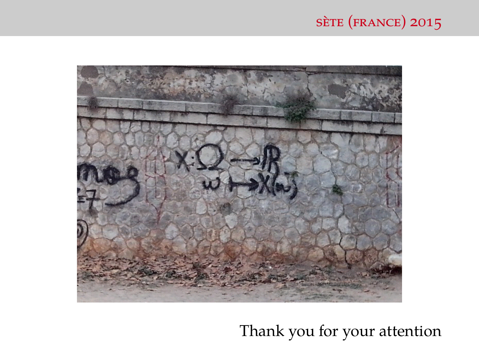## sète (france) 2015



## Thank you for your attention